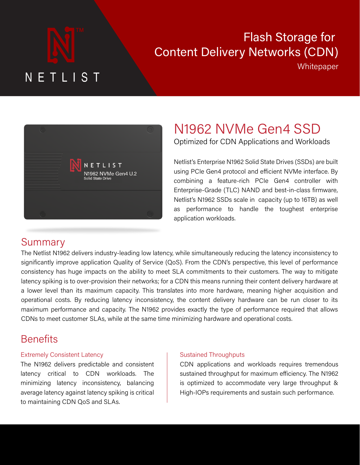# $\mathbf{N}$  be the deliver content to deliver content to deliver content to deliver content to deliver content to deliver content to deliver content to deliver content to deliver content to deliver content to deliver content ender delivered varies from the content being delivered varies from the content of the content of the content

# Flash Storage for Content Delivery Networks (CDN)<br><sup>Whitepaper</sup>

serve (in the diagram to the diagram to the PoP is the PoP is the cloud of the PoP is the cloud of the PoP is with the "CDN" label in it). The purpose of the purpose of having  $\mathcal{L}$ 



executables (both complete packages and updates)

#### N1962 NVMe Gen4 SSD  $4,200$  locations in 135 countries, with a total with a total with a total with a total with a total with a total with a total with  $\sim$ 962 NVMe Gen4 SSD **Performance Netlist N1962 for CDN Workloads**

Optimized for CDN Applications and Workloads In the number of PoPs is not a consider that a consider  $\alpha$ 

more redundancy in the case of internet failures. For

Netlist's Enterprise N1962 Solid State Drives (SSDs) are built using PCIe Gen4 protocol and efficient NVMe interface. By combining a feature-rich PCIe Gen4 controller with Enterprise-Grade (TLC) NAND and best-in-class firmware, Netlist's N1962 SSDs scale in capacity (up to 16TB) as well as performance to handle the toughest enterprise **Workloads** application workloads. **The Problem That Storage Performance Presents**   $t_{\text{M}}$  for a set  $\left(120\right)$  in the directed matrix of  $\left(120\right)$ s iviboz **SSDs Scale III** Capacity (up to TOTD) as well Winespaper<br>
1962 NVMe Gen4 SSD<br>
1962 NVMe Gen4 SSD<br>
1962 Solid State Drives (SSDs) are built<br>
1972 Senterprise N1962 Solid State Drives (SSDs) are built<br>
1974 PCIe Gen4 protocol and efficient NVMe interface. By<br>
1974 And S The Netlist Network Network States of enterprise SSDs enterprise SSDs encompass the latest technologies and hi<br>SSDs enterprise and highest technologies and highest technologies and highest states and highest states and hi 962 INVIVIE GEN4 SSD<br>nized for CDN Applications and Workloads<br>"'s Enterprise N1962 Solid State Drives (SSDs) are built<br>PCle Gen4 protocol and efficient NVMe interface. By<br>ning a feature-rich PCle Gen4 controller with<br>prise

#### Summary **Exercise Summary** Summary, the latency array, the latency of the  $\mathcal{L}$  $T_{\rm eff}$  sequential and random read performance charts charts for  $r_{\rm eff}$

Summary<br>The Netlist N1962 delivers industry-leading low latency, while simultaneously reducing the latency inconsistency to significantly improve application Quality of Service (QoS). From the CDN's perspective, this level of performance consistency has huge impacts on the ability to meet SLA commitments to their customers. The way to mitigate in the contractual requirements of the contractual process. The contract of the content delivery hardware at a<br>Contract of their contractual requirements of the contractual process in SLAs and their content delivery hardwa a lower level than its maximum capacity. This translates into more hardware, meaning higher acquisition and operational costs. By reducing latency inconsistency, the content delivery hardware can be run closer to its maximum performance and capacity. The N1962 provides exactly the type of performance required that allows CDNs to meet customer SLAs, while at the same time minimizing hardware and operational costs. portonio i uming mon content denvery naruware at 3Solid and the most state of the state of the state of the state of the state of the state of the state of the state of the state of the state of the state of the state of the state of the state of the state of the state o expression to the average latency will be average to the average latency will be a competitive to the latency increases the competitive of the competitive of the competitive of the competitive of the competitive of the com significantly more provided in the second state of the second state and state and state and state and state and state array in the second state and state and state and state and state and state and state and state and stat a lower lever than its maximum capacity. This trans simultaneously reducing the latency inconsistency to<br>om the CDN's perspective, this level of performance<br>pmmitments to their customers. The way to mitigate<br>this means running their content delivery hardware at<br>to more hard 4<br>
1990 MET LIST Willepaper<br>
1990 MUNICIPATION WILLEP WILLEP WILLEP WILLEP WILLEP<br>
1990 MUNICIPATION CONTRACT CONTRACT CONTRACT CONTRACT CONTRACT CONTRACT CONTRACT CONTRACT CONTRACT CONTRACT CONTRACT CONTRACT CONTRACT CON idicity spiking is to over provision their fictive. ation workloads.<br>simultaneously reducing the latency inconsistency to<br>om the CDN's perspective, this level of performance<br>pmmitments to their customers. The way to mitigate FIRET INSTERT INTERNATION CONTROL CONTROL CONTROL CONTROL CONTROL CONTROL CONTROL CONTROL CONTROL CONTROL CONTROL CONTROL CONTROL CONTROL CONTROL CONTROL CONTROL CONTROL CONTROL CONTROL CONTROL CONTROL CONTROL CONTROL CONT cons<sup>e</sup>

#### the case of content that is being viewed or listened to work the content to work and the content of the content of the content of the content of the content of the content of the content of the content of the content of th beliefilis is typically measured as a stypically measured as a stypically measured as a stypically measured as  $\sim$  $\mathsf{D}\mathsf{C}\mathsf{R}\mathsf{C}\mathsf{R}\mathsf{C}$

### Extremely Consistent Latency and the type of the type of the type of the type of the type of the type of the type of the type of the type of the type of the type of type of type of type of type of type of type of type of t

The N1962 delivers predictable and consistent  $\begin{vmatrix} \text{latency} & \text{critical} & \text{to} & \text{CDN} & \text{workloads.} & \text{The} \end{vmatrix}$ minimizing latency inconsistency, balancing Service Level Agreements (SLAs) in their contracts ratios of dynamic random-access memory (DRAM) average latency against latency spiking is critical  $\qquad \qquad \mid$ to maintaining CDN QoS and SLAs. The maintaining CDN QoS and SLAs.  $\mathcal{L}$  much training training  $\mathcal{L}$  and the carry  $\mathcal{L}$  $\frac{1}{2}$ late takes delivers predictable and consistent to  $\frac{1}{2}$  $\frac{1}{\pi}$  manufacturer. Since  $\frac{1}{\pi}$  models and consistent  $\frac{d}{dx}$  die  $\frac{d}{dx}$  of  $\frac{d}{dx}$  or  $\frac{d}{dx}$  of  $\frac{d}{dx}$  or  $\frac{d}{dx}$  $\frac{1}{2}$  alternative the rate capacity of  $\frac{1}{2}$ 

are known as  $P$  of  $P$  in  $P$  of  $P$  in  $P$  in  $\mathcal{P}$  is  $P$  in  $\mathcal{P}$  in  $\mathcal{P}$  in  $\mathcal{P}$  in  $\mathcal{P}$  in  $\mathcal{P}$  in  $\mathcal{P}$  in  $\mathcal{P}$  in  $\mathcal{P}$  in  $\mathcal{P}$  in  $\mathcal{P}$  in  $\mathcal{P}$  in  $\mathcal{P}$  in  $\mathcal{P}$  i

endurance, which requires "firmware intervention" of

# Sustained Throughputs versus PCIe Gen3 SSDs is shown in the figure to the right, where you can see that sequential read/write performance nearly doubled, and random read IOPS more than doubled.

CDN applications and workloads requires tremendous sustained throughput for maximum efficiency. The N1962 is optimized to accommodate very large throughput & High-IOPs requirements and sustain such performance. content interview networks (CDNs), latency is a content of the content of the content of the content of the co v applications and workloads requires tremendous From the CONT of maximum efficiency. The N1962<br>ptimized to accommodate very large throughput &<br>1-IOPs requirements and sustain such performance.

level than its maximum capacity.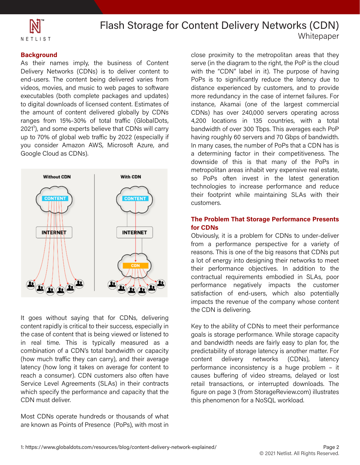

#### **Background**

As their names imply, the business of Content Delivery Networks (CDNs) is to deliver content to end-users. The content being delivered varies from videos, movies, and music to web pages to software executables (both complete packages and updates) to digital downloads of licensed content. Estimates of the amount of content delivered globally by CDNs ranges from 15%-30% of total traffic (GlobalDots, 2021<sup>1</sup>), and some experts believe that CDNs will carry 2021<sup>1</sup>), and some experts believe that CDNs will carry up to 70% of global web traffic by 2022 (especially if ap to rove of global was trained by ESEE (copositally in the CDN consider Amazon AWS, Microsoft Azure, and .<br>Google Cloud as CDNs). As their names imply, the business of Content<br>Delivery Networks (CDNs) is to deliver content to<br>end-users. The content being delivered varies from<br>videos, movies, and music to web pages to software<br>executables (both comple



It goes without saying that for CDNs, delivering combination of a ODN's total banamatin or capacity<br>(how much traffic they can carry), and their average latency (how long it takes on average for content to reach a consumer). CDN customers also often have Service Level Agreements (SLAs) in their contracts which specify the performance and capacity that the CDN must deliver. the case of content that is being viewed or ifsteried to<br>in real time. This is typically measured as a content rapidly is critical to their success, especially in the case of content that is being viewed or listened to combination of a CDN's total bandwidth or capacity

Most CDNs operate hundreds or thousands of what are known as Points of Presence (PoPs), with most in

close proximity to the metropolitan areas that they close proximity to the metropolitan areas that they<br>serve (in the diagram to the right, the PoP is the cloud<br>with the "CDN" label in it). The numere of bound N<sub>1962</sub> November 200 Tbps. This averages each PoP<br>bandwidth of over 300 Tbps. This averages each PoP In many roughly be servers and 70 displois bandwidth.<br>In many cases, the number of PoPs that a CDN has is downside of this is that many of the PoPs in metropolitan areas inhabit very expensive real estate, so PoPs often invest in the latest generation teermologies to increase performance and reduce<br>their footprint while maintaining SLAs with their best-in-complete them were indicently some interwith the "CDN" label in it). The purpose of having PoPs is to significantly reduce the latency due to distance experienced by customers, and to provide more redundancy in the case of internet failures. For instance, Akamai (one of the largest commercial CDNs) has over 240,000 servers operating across 4,200 locations in 135 countries, with a total having roughly 60 servers and 70 Gbps of bandwidth. a determining factor in their competitiveness. The technologies to increase performance and reduce **Performance of Network N1962 SSD for CDN**  $\mathcal{P}$ with the "CDN" label in it). The purpose of having<br>PoPs is to significantly reduce the latency due to<br>distance experienced by customers, and to provide<br>more redundancy in the case of internet failures. For<br>instance, Akamai **Bracklays and the state of the state and the state in the state of the state of the state of the state of the state of the state of the state of the state of the state of the state of the state of the state of the state o** close proximity to the metropolitan areas that they<br>serve (in the diagram to the right, the PoP is the cloud<br>with the "CDN" label in it). The purpose of having<br>PoPs is to significantly reduce the latency due to<br>distance ex bandwidth of over 300 Tbps. This averages each PoP<br>having roughly 60 servers and 70 Gbps of bandwidth.<br>In many cases, the number of PoPs that a CDN has is<br>a determining factor in their competitiveness. The<br>downside of this **EXECONS** of the basic means into more into means and costs. By the methods in the costs. By reducing the costs. By reducing the content of costs. By reducing to the content of the content of the content of the content of

#### The Problem That Storage Performance Presents<br>for CDNs **for CDNs**

impacts the revenue of the company whose content the CDN is delivering. Obviously, it is a problem for CDNs to under-deliver from a performance perspective for a variety of contractual requirements embodied in SLAs, poor Obviously, it is a problem for CDNs to under-deliver<br>from a performance perspective for a variety of<br>reasons. This is one of the big reasons that CDNs put<br>a lot of energy into designing their networks to meet<br>their perform **The Problem That Storage Performance Presents**<br>**for CDNs**<br>Obviously, it is a problem for CDNs to under-deliver<br>from a performance perspective for a variety of<br>reasons. This is one of the big reasons that CDNs put<br>a lot of

> predictability of storage latency is another matter. For<br>contact the deliverse protecules (CDNs) between performance inconsistency is a huge problem – it causes buffering of video streams, delayed or lost retail transactions, or interrupted downloads. The figure on page 3 (from StorageReview.com) illustrates Key to the ability of CDNs to meet their performance goals is storage performance. While storage capacity and bandwidth needs are fairly easy to plan for, the content delivery networks (CDNs), latency this phenomenon for a NoSQL workload. Key to the ability of CDNs to meet their performance<br>goals is storage performance. While storage capacity<br>and bandwidth needs are fairly easy to plan for, the<br>predictability of storage latency is another matter. For causes buffering of video streams, delayed or lost<br>retail transactions, or interrupted downloads. The<br>figure on page 3 (from StorageReview.com) illustrates<br>this phenomenon for a NoSQL workload.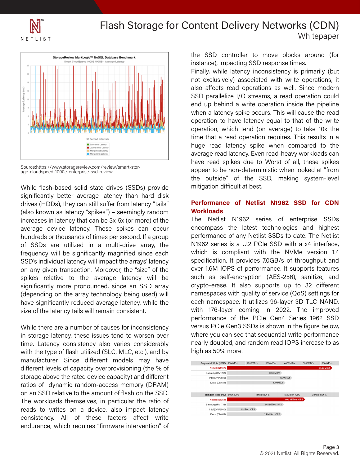



Source:https://www.storagereview.com/review/smart-stor-<br>age-cloudspeed-1000e-enterprise-ssd-review

mariareas or moasanas or imnes per second. If a group<br>of SSDs are utilized in a multi-drive array, the frequency will be significantly magnified since each and which is compliant with the NVMe version 1.4 SSD's individual latency will impact the arrays' latency specification. It provides 7.0GB/s of throughput and on any given transaction. Moreover, the "size" of the over 1.6M IOPS of performance. It supports features spikes relative to the average latency will be a courred self-cheryption (ALC-200), sumilize, and<br>significantly more pronounced, since an SSD array and crypto-erase. It also supports up to 32 different a lower lower may be the more of the capacity. The interest may be translated than it is translated to provide<br>Supervisition of the array technology being used) will and namespaces with quality of service (QoS) settings fo inconsistency inconsistency consistency in the content deliver seach namespace. It utilizes 96-layer 3D TLC NAND, size of the latency tails will remain consistent. The twith 176-layer coming in 2022. The improved While flash-based solid state drives (SSDs) provide significantly better average latency than hard disk drives (HDDs), they can still suffer from latency "tails" anves (mbbs), they can sum suner nominatency hans<br>(also known as latency "spikes") – seemingly random the content that is called the more income of the increases in latency that can be 3x-5x (or more) of the average device latency. These spikes can occur hundreds or thousands of times per second. If a group<br>of SSDs are utilized in a multi-drive array, the<br>frequency will be significantly magnified since each spikes relative to the average latency will be significantly more pronounced, since an SSD array (depending on the array technology being used) will have significantly reduced average latency, while the size of the latency tails will remain consistent.

with the type of flash utilized (SLC, MLC, etc.), and by mandacture. Since and content models may have storage above the rated device capacity) and different ratios of dynamic random-access memory (DRAM) on an SSD relative to the amount of flash on the SSD. The workloads themselves, in particular the ratio of in storage latency, these issues tend to worsen over<br>time. Latency consistency also varies considerably **Netlist, Inc. 175 Technology, Irvine, CA 92618 | Phone: +1 (949) 435-0025** While there are a number of causes for inconsistency in storage latency, these issues tend to worsen over manufacturer. Since different models may have consistency. All of these factors affect write endurance, which requires "firmware intervention" of reads to writes on a device, also impact latency

the SSD controller to move blocks around (for instance), impacting SSD response times. instance), impacting SSD response times.

operation to have acompy equal to that or the time<br>operation, which tend (on average) to take 10x the anne and a reductions required. This results in a have read spikes due to Worst of all, these spikes appear to be non-deterministic when looked at "from the outside" of the SSD, making system-level mitigation difficult at best. instance), impacting SSD response times.<br>Finally, while latency inconsistency is primarily (but not exclusively) associated with write operations, it also affects read operations as well. Since modern SSD parallelize I/O streams, a read operation could end up behind a write operation inside the pipeline when a latency spike occurs. This will cause the read operation to have latency equal to that of the write time that a read operation requires. This results in a average read latency. Even read-heavy workloads can Finally, while latency inconsistency is primarily (but<br>not exclusively) associated with write operations, it<br>also affects read operations as well. Since modern<br>SSD parallelize I/O streams, a read operation could<br>end up beh the SSD controller to move blocks around (for<br>instance), impacting SSD response times.<br>Finally, while latency inconsistency is primarily (but<br>not exclusively) associated with write operations, it<br>also affects read operatio operation, which tend (on average) to take 10x the<br>time that a read operation requires. This results in a<br>huge read latency spike when compared to the<br>average read latency. Even read-heavy workloads can<br>have read spikes du

#### Performance of Netlist N1962 SSD for CDN **as performance to handle the toughest enterprise to handle the toughest enterprise to the toughest enterprise of the toughest enterprise**  $\mathbf{r}$

The Netlist N1962 series of enterprise SSDs performance of the PCIe Gen4 Series 1962 SSD high as 50% more. The Netlist N1962 series of enterprise SSDs<br>encompass the latest technologies and highest performance of any Netlist SSDs to date. The Netlist N1962 series is a U.2 PCIe SSD with a x4 interface, which is compliant with the NVMe version 1.4 specification. It provides 7.0GB/s of throughput and over 1.6M IOPS of performance. It supports features. such as self-encryption (AES-256), sanitize, and versus PCIe Gen3 SSDs is shown in the figure below, where you can see that sequential write performance nearly doubled, and random read IOPS increase to as Source: the Construction of the material of the SD, making spectral and the material of the SSD, making system-level<br>significantly between the person of different person of different person of the state of the SSD, making performance of any Netlist SSDs to date. The Netlist<br>N1962 series is a U.2 PCle SSD with a x4 interface,<br>which is compliant with the NVMe version 1.4<br>specification. It provides 7.0GB/s of throughput and<br>over 1.6M IOPS of p versus PCIe Gen3 SSDs is shown in the figure below, where you can see that sequential write performance nearly doubled, and random read IOPS increase to as high as 50% more. He assessment of the SSD context we all the state is the state and the state is the state in the state in the state is the state in the state in the state is the state in the state in the state is the state in the state i The Netlist N1962 series of enterprise SSDs<br>encompass the latest technologies and highest<br>performance of any Netlist SSDs to date. The Netlist<br>N1962 series is a U.2 PCIe SSD with a x4 interface,<br>which is compliant with the This translate translate translate translate to the more book and content operation and the more inconsistency information and operation and operation and operation and operation and operation and operation and operation a

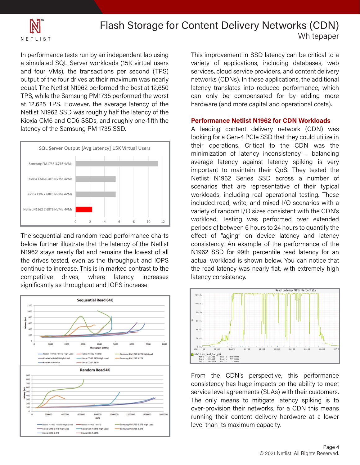

In performance tests run by an independent lab using a simulated SQL Server workloads (15K virtual users and four VMs), the transactions per second (TPS) output of the four drives at their maximum was nearly equal. The Netlist N1962 performed the best at 12,650 TPS, while the Samsung PM1735 performed the worst at 12,625 TPS. However, the average latency of the Netlist N1962 SSD was roughly half the latency of the Kioxia CM6 and CD6 SSDs, and roughly one-fifth the latency of the Samsung PM 1735 SSD. a simulated SQL Server workloads (15K virtual users<br>and four VMs), the transactions per second (TPS)<br>output of the four drives at their maximum was nearly<br>equal. The Netlist N1962 performed the best at 12,650<br>TPS, while th



In the summary and random read performance enarrely below further illustrate that the latency of the Netlist N1962 stays nearly flat and remains the lowest of all **N**1962 SSD for 99th percentile read latency for an the drives tested, even as the throughput and IOPS actual workload is shown below. You can notice that huge impacts on the ability to meet SLA commitments to their customers. The only means to mitigate latency their performance objectives. In addition to the spiritual is to over-provision the content of a CDN their metallication theorem is metally content delivery.<br>Content the attenuation of LODS increases The sequential and random read performance charts N1962 stays nearly flat and remains the lowest of all any gives tested, even as the imodynput and for 5 continue to increase. This is in marked contrast to the commute to the costs. The latter the average contract to the competitive drives, where latency increases significantly as throughput and IOPS increase. The sequential and random read performance charts<br>below further illustrate that the latency of the Netlist<br>N1962 stays nearly flat and remains the lowest of all



Content Delivery Networks (CDN) close proximity to the metropolitan areas that they This improvement in SSD latency can be critical to a<br>variety of applications, including databases, web<br>servises aloud sarvise resuldars and sector delivery. services, cloud service providers, and content delivery. networks (CDNs). In these applications, the additional latency translates into reduced performance, which can only be compensated for by adding more hardware (and more capital and operational costs). This improvement in SSD latency can be critical to a<br>variety of applications, including databases, web<br>services, cloud service providers, and content delivery<br>networks (CDNs). In these applications, the additional<br>latency

#### **Performance Netlist N1962 for CDN Workloads**

Non-married content of our content services of the services of the service of the service of the service of the service of the service of the service of the service of the service of the service of the service of the servi Footing for a defirer fore obe that they could differ in average latency against latency spiking is very important to maintain their QoS. They tested the Netlist N1962 Series SSD across a number of secharies that are representative of their typical<br>workloads, including real operational testing. These mance of *interface*, *networking* starting the specifical stating. These included read, write, and mixed I/O scenarios with a variety of random I/O sizes consistent with the CDN's workload. Testing was performed over extended<br>periods of between 6 hours to 24 hours to quantify the looking for a Gen-4 PCIe SSD that they could utilize in minimization of latency in consistency  $-$  balancing scenarios that are representative of their typical periods of between 6 hours to 24 hours to quantify the effect of "aging" on device latency and latency consistency. An example of the performance of the actual workload is shown below. You can notice that latency consistency. services, cloud service providers, and content delivery<br>networks (CDNs). In these applications, the additional<br>latency translates into reduced performance, which<br>can only be compensated for by adding more<br>hardware (and mor effect of "aging" on device latency and latency<br>consistency. An example of the performance of the<br>N1962 SSD for 99th percentile read latency for an<br>actual workload is shown below. You can notice that<br>the read latency was n A leading content delivery network (CDN) was<br>looking for a Gen-4 PCle SSD that they could utilize in<br>their operations. Critical to the CDN was the<br>minimization of latency inconsistency - balancing<br>average latency against l workload. Testing was performed over extended<br>periods of between 6 hours to 24 hours to quantify the<br>effect of "aging" on device latency and latency<br>consistency. An example of the performance of the<br>N1962 SSD for 99th perc



From the CDN's perspective, this performance consistency has huge impacts on the ability to meet service level agreements (SLAs) with their customers. From the CDN's perspective, this performance<br>consistency has huge impacts on the ability to meet<br>service level agreements (SLAs) with their customers.<br>The only means to mitigate latency spiking is to over-provision their networks; for a CDN this means running their content delivery hardware at a lower level than its maximum capacity.